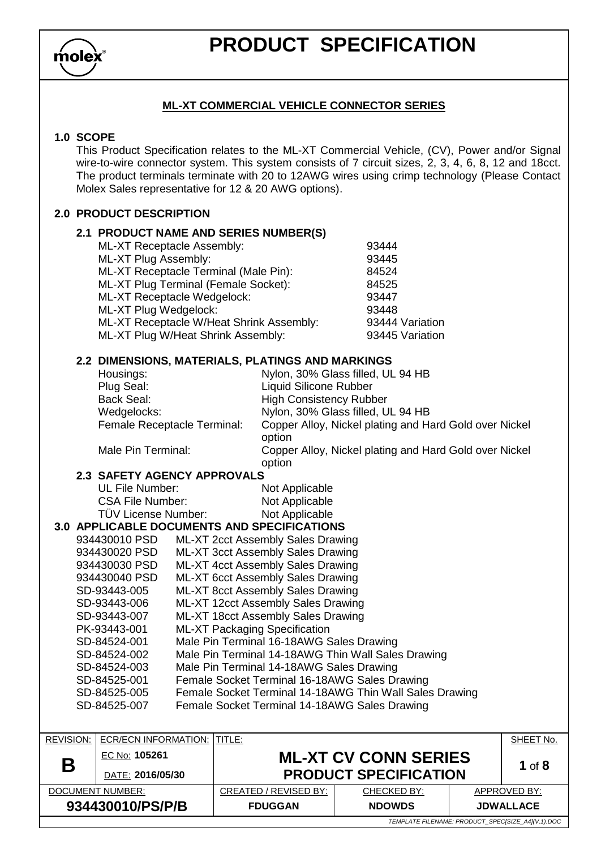$m$ olex

### **ML-XT COMMERCIAL VEHICLE CONNECTOR SERIES**

#### **1.0 SCOPE**

This Product Specification relates to the ML-XT Commercial Vehicle, (CV), Power and/or Signal wire-to-wire connector system. This system consists of 7 circuit sizes, 2, 3, 4, 6, 8, 12 and 18cct. The product terminals terminate with 20 to 12AWG wires using crimp technology (Please Contact Molex Sales representative for 12 & 20 AWG options).

### **2.0 PRODUCT DESCRIPTION**

| <b>2.1 PRODUCT NAME AND SERIES NUMBER(S)</b> |                 |
|----------------------------------------------|-----------------|
| ML-XT Receptacle Assembly:                   | 93444           |
| ML-XT Plug Assembly:                         | 93445           |
| ML-XT Receptacle Terminal (Male Pin):        | 84524           |
| ML-XT Plug Terminal (Female Socket):         | 84525           |
| ML-XT Receptacle Wedgelock:                  | 93447           |
| ML-XT Plug Wedgelock:                        | 93448           |
| ML-XT Receptacle W/Heat Shrink Assembly:     | 93444 Variation |
| ML-XT Plug W/Heat Shrink Assembly:           | 93445 Variation |
|                                              |                 |

#### **2.2 DIMENSIONS, MATERIALS, PLATINGS AND MARKINGS**

| Housings:                   | Nylon, 30% Glass filled, UL 94 HB                                |
|-----------------------------|------------------------------------------------------------------|
| Plug Seal:                  | <b>Liquid Silicone Rubber</b>                                    |
| <b>Back Seal:</b>           | <b>High Consistency Rubber</b>                                   |
| Wedgelocks:                 | Nylon, 30% Glass filled, UL 94 HB                                |
| Female Receptacle Terminal: | Copper Alloy, Nickel plating and Hard Gold over Nickel<br>option |
| Male Pin Terminal:          | Copper Alloy, Nickel plating and Hard Gold over Nickel           |

#### **2.3 SAFETY AGENCY APPROVALS**

| UL File Number:         |  |                     |  |
|-------------------------|--|---------------------|--|
| <b>CSA File Number:</b> |  |                     |  |
|                         |  | TÜV License Number: |  |

Not Applicable Not Applicable Not Applicable

option

#### **3.0 APPLICABLE DOCUMENTS AND SPECIFICATIONS**

| 934430010 PSD | ML-XT 2cct Assembly Sales Drawing                       |
|---------------|---------------------------------------------------------|
| 934430020 PSD | ML-XT 3cct Assembly Sales Drawing                       |
| 934430030 PSD | ML-XT 4cct Assembly Sales Drawing                       |
| 934430040 PSD | ML-XT 6cct Assembly Sales Drawing                       |
| SD-93443-005  | ML-XT 8cct Assembly Sales Drawing                       |
| SD-93443-006  | ML-XT 12cct Assembly Sales Drawing                      |
| SD-93443-007  | ML-XT 18cct Assembly Sales Drawing                      |
| PK-93443-001  | <b>ML-XT Packaging Specification</b>                    |
| SD-84524-001  | Male Pin Terminal 16-18AWG Sales Drawing                |
| SD-84524-002  | Male Pin Terminal 14-18AWG Thin Wall Sales Drawing      |
| SD-84524-003  | Male Pin Terminal 14-18AWG Sales Drawing                |
| SD-84525-001  | Female Socket Terminal 16-18AWG Sales Drawing           |
| SD-84525-005  | Female Socket Terminal 14-18AWG Thin Wall Sales Drawing |
| SD-84525-007  | Female Socket Terminal 14-18AWG Sales Drawing           |
|               |                                                         |

| <b>REVISION:</b> | ECR/ECN INFORMATION: ITITLE:                      |                              |                             |  | SHEET No.        |
|------------------|---------------------------------------------------|------------------------------|-----------------------------|--|------------------|
| Β                | EC No: 105261                                     |                              | <b>ML-XT CV CONN SERIES</b> |  | 1 of $8$         |
|                  | DATE: 2016/05/30                                  | <b>PRODUCT SPECIFICATION</b> |                             |  |                  |
| DOCUMENT NUMBER: |                                                   | CREATED / REVISED BY:        | CHECKED BY:                 |  | APPROVED BY:     |
| 934430010/PS/P/B |                                                   | <b>FDUGGAN</b>               | <b>NDOWDS</b>               |  | <b>JDWALLACE</b> |
|                  | TEMPLATE FILENAME: PRODUCT SPECISIZE A4](V.1).DOC |                              |                             |  |                  |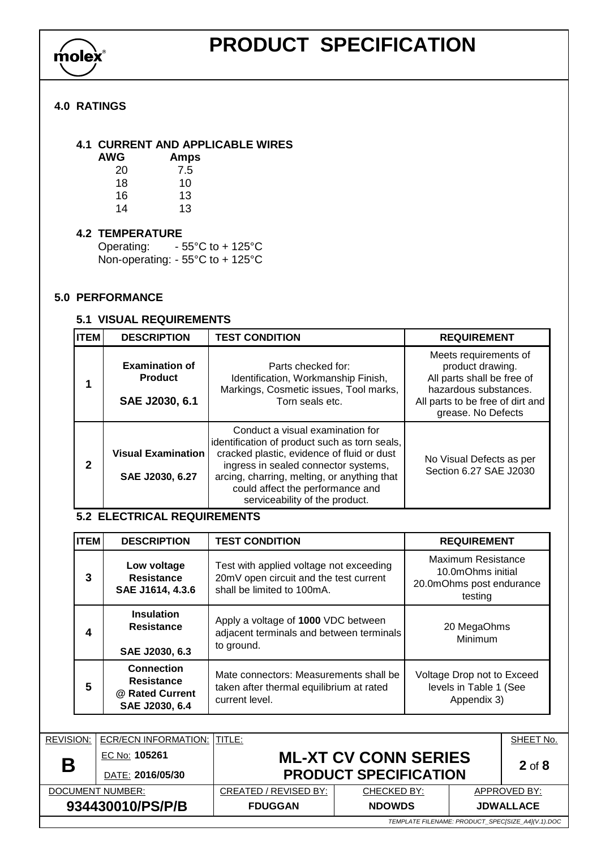

### **4.0 RATINGS**

**4.1 CURRENT AND APPLICABLE WIRES**

| <b>AWG</b> | <b>Amps</b> |
|------------|-------------|
| 20         | 7.5         |
| 18         | 10          |
| 16         | 13          |
| 14         | 13          |

#### **4.2 TEMPERATURE**

Operating: - 55°C to + 125°C Non-operating: - 55°C to + 125°C

#### **5.0 PERFORMANCE**

### **5.1 VISUAL REQUIREMENTS**

| Іітем | <b>DESCRIPTION</b>                                        | <b>TEST CONDITION</b>                                                                                                                                                                                                                                                                        | <b>REQUIREMENT</b>                                                                                                                                         |
|-------|-----------------------------------------------------------|----------------------------------------------------------------------------------------------------------------------------------------------------------------------------------------------------------------------------------------------------------------------------------------------|------------------------------------------------------------------------------------------------------------------------------------------------------------|
|       | <b>Examination of</b><br><b>Product</b><br>SAE J2030, 6.1 | Parts checked for:<br>Identification, Workmanship Finish,<br>Markings, Cosmetic issues, Tool marks,<br>Torn seals etc.                                                                                                                                                                       | Meets requirements of<br>product drawing.<br>All parts shall be free of<br>hazardous substances.<br>All parts to be free of dirt and<br>grease. No Defects |
| 2     | <b>Visual Examination</b><br>SAE J2030, 6.27              | Conduct a visual examination for<br>identification of product such as torn seals,<br>cracked plastic, evidence of fluid or dust<br>ingress in sealed connector systems,<br>arcing, charring, melting, or anything that<br>could affect the performance and<br>serviceability of the product. | No Visual Defects as per<br>Section 6.27 SAE J2030                                                                                                         |

### **5.2 ELECTRICAL REQUIREMENTS**

| <b>ITEM</b>                                                                                        | <b>DESCRIPTION</b>                                       | <b>TEST CONDITION</b>                                                                                           | <b>REQUIREMENT</b>                                                             |
|----------------------------------------------------------------------------------------------------|----------------------------------------------------------|-----------------------------------------------------------------------------------------------------------------|--------------------------------------------------------------------------------|
| 3                                                                                                  | Low voltage<br><b>Resistance</b><br>SAE J1614, 4.3.6     | Test with applied voltage not exceeding<br>20mV open circuit and the test current<br>shall be limited to 100mA. | Maximum Resistance<br>10.0mOhms initial<br>20.0mOhms post endurance<br>testing |
| 4                                                                                                  | <b>Insulation</b><br><b>Resistance</b><br>SAE J2030, 6.3 | Apply a voltage of 1000 VDC between<br>adjacent terminals and between terminals<br>to ground.                   | 20 MegaOhms<br>Minimum                                                         |
| <b>Connection</b><br><b>Resistance</b><br>5<br>@ Rated Current<br>current level.<br>SAE J2030, 6.4 |                                                          | Mate connectors: Measurements shall be<br>taken after thermal equilibrium at rated                              | Voltage Drop not to Exceed<br>levels in Table 1 (See<br>Appendix 3)            |

| <b>REVISION:</b>                                  | ECR/ECN INFORMATION: ITITLE: |                       |                              |  | SHEET No.        |  |  |  |
|---------------------------------------------------|------------------------------|-----------------------|------------------------------|--|------------------|--|--|--|
| Β                                                 | EC No: 105261                |                       | <b>ML-XT CV CONN SERIES</b>  |  | $2$ of $8$       |  |  |  |
|                                                   | DATE: 2016/05/30             |                       | <b>PRODUCT SPECIFICATION</b> |  |                  |  |  |  |
| DOCUMENT NUMBER:                                  |                              | CREATED / REVISED BY: | CHECKED BY:                  |  | APPROVED BY:     |  |  |  |
| 934430010/PS/P/B                                  |                              | <b>FDUGGAN</b>        | <b>NDOWDS</b>                |  | <b>JDWALLACE</b> |  |  |  |
| TEMPLATE FILENAME: PRODUCT SPECISIZE A4](V.1).DOC |                              |                       |                              |  |                  |  |  |  |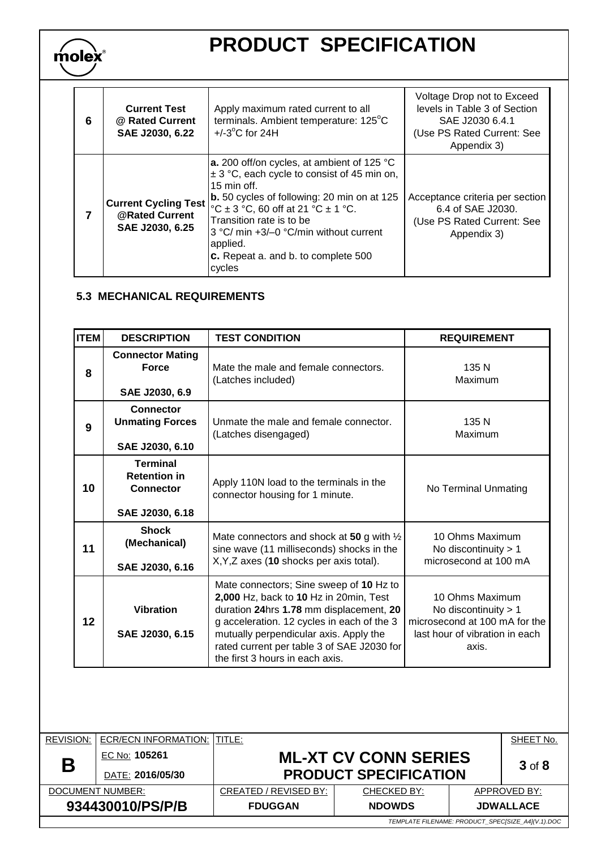| 6 | <b>Current Test</b><br>@ Rated Current<br>SAE J2030, 6.22        | Apply maximum rated current to all<br>terminals. Ambient temperature: 125°C<br>$+/-3$ °C for 24H                                                                                                                                                                                                                                                                  | Voltage Drop not to Exceed<br>levels in Table 3 of Section<br>SAE J2030 6.4.1<br>(Use PS Rated Current: See<br>Appendix 3) |
|---|------------------------------------------------------------------|-------------------------------------------------------------------------------------------------------------------------------------------------------------------------------------------------------------------------------------------------------------------------------------------------------------------------------------------------------------------|----------------------------------------------------------------------------------------------------------------------------|
| 7 | <b>Current Cycling Test</b><br>@Rated Current<br>SAE J2030, 6.25 | a. 200 off/on cycles, at ambient of 125 °C<br>$\pm$ 3 °C, each cycle to consist of 45 min on,<br>$15 \text{ min of}f$ .<br>$ b. 50$ cycles of following: 20 min on at 125<br>°C $\pm$ 3 °C, 60 off at 21 °C $\pm$ 1 °C.<br>Transition rate is to be<br>3 °C/ min +3/-0 °C/min without current<br>applied.<br><b>c.</b> Repeat a. and b. to complete 500<br>cycles | Acceptance criteria per section<br>6.4 of SAE J2030.<br>(Use PS Rated Current: See<br>Appendix 3)                          |

### **5.3 MECHANICAL REQUIREMENTS**

molex

| <b>ITEM</b> | <b>DESCRIPTION</b>                                                                                                                                                                                                                                                                                                                           | <b>TEST CONDITION</b>                                                                                                                         | <b>REQUIREMENT</b>                                                                                                    |  |
|-------------|----------------------------------------------------------------------------------------------------------------------------------------------------------------------------------------------------------------------------------------------------------------------------------------------------------------------------------------------|-----------------------------------------------------------------------------------------------------------------------------------------------|-----------------------------------------------------------------------------------------------------------------------|--|
| 8           | <b>Connector Mating</b><br><b>Force</b><br>SAE J2030, 6.9                                                                                                                                                                                                                                                                                    | Mate the male and female connectors.<br>(Latches included)                                                                                    | 135 N<br>Maximum                                                                                                      |  |
| 9           | Connector<br><b>Unmating Forces</b><br>SAE J2030, 6.10                                                                                                                                                                                                                                                                                       | Unmate the male and female connector.<br>(Latches disengaged)                                                                                 | 135 N<br>Maximum                                                                                                      |  |
| 10          | <b>Terminal</b><br><b>Retention in</b><br><b>Connector</b><br>SAE J2030, 6.18                                                                                                                                                                                                                                                                | Apply 110N load to the terminals in the<br>connector housing for 1 minute.                                                                    | No Terminal Unmating                                                                                                  |  |
| 11          | <b>Shock</b><br>(Mechanical)<br>SAE J2030, 6.16                                                                                                                                                                                                                                                                                              | Mate connectors and shock at 50 g with $\frac{1}{2}$<br>sine wave (11 milliseconds) shocks in the<br>X, Y, Z axes (10 shocks per axis total). | 10 Ohms Maximum<br>No discontinuity $> 1$<br>microsecond at 100 mA                                                    |  |
| 12          | Mate connectors; Sine sweep of 10 Hz to<br>2,000 Hz, back to 10 Hz in 20min, Test<br><b>Vibration</b><br>duration 24hrs 1.78 mm displacement, 20<br>g acceleration. 12 cycles in each of the 3<br>SAE J2030, 6.15<br>mutually perpendicular axis. Apply the<br>rated current per table 3 of SAE J2030 for<br>the first 3 hours in each axis. |                                                                                                                                               | 10 Ohms Maximum<br>No discontinuity $> 1$<br>microsecond at 100 mA for the<br>last hour of vibration in each<br>axis. |  |

| <b>REVISION:</b> | ECR/ECN INFORMATION:                              | <b>TITLE:</b>         |                              |  | SHEET No.        |  |  |
|------------------|---------------------------------------------------|-----------------------|------------------------------|--|------------------|--|--|
| Β                | EC No: 105261                                     |                       | <b>ML-XT CV CONN SERIES</b>  |  | $3$ of $8$       |  |  |
|                  | DATE: 2016/05/30                                  |                       | <b>PRODUCT SPECIFICATION</b> |  |                  |  |  |
| DOCUMENT NUMBER: |                                                   | CREATED / REVISED BY: | CHECKED BY:                  |  | APPROVED BY:     |  |  |
| 934430010/PS/P/B |                                                   | <b>FDUGGAN</b>        | <b>NDOWDS</b>                |  | <b>JDWALLACE</b> |  |  |
|                  | TEMPLATE FILENAME: PRODUCT SPECISIZE A4](V.1).DOC |                       |                              |  |                  |  |  |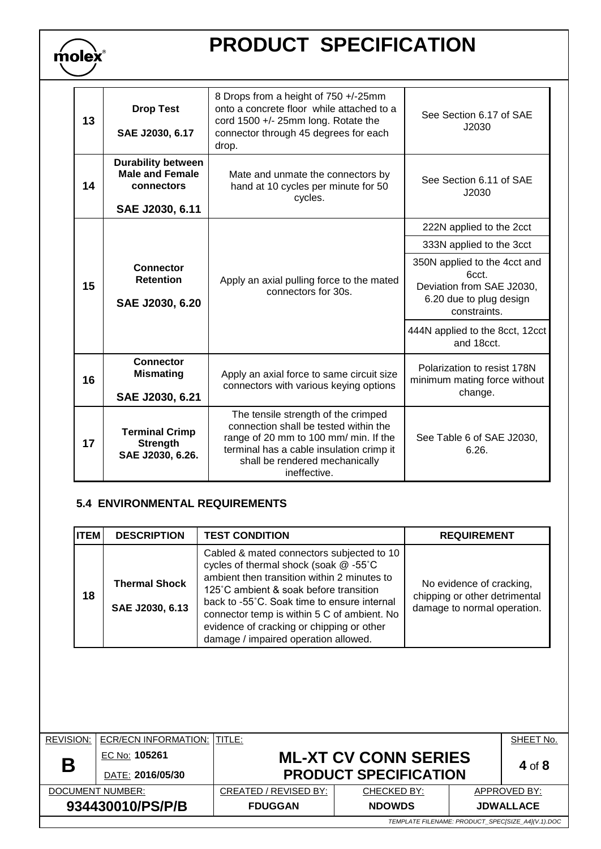| 13 | <b>Drop Test</b><br>SAE J2030, 6.17                                                  | 8 Drops from a height of 750 +/-25mm<br>onto a concrete floor while attached to a<br>cord $1500 +/- 25$ mm long. Rotate the<br>connector through 45 degrees for each<br>drop.                                       | See Section 6.17 of SAE<br>J2030                                                                              |  |
|----|--------------------------------------------------------------------------------------|---------------------------------------------------------------------------------------------------------------------------------------------------------------------------------------------------------------------|---------------------------------------------------------------------------------------------------------------|--|
| 14 | <b>Durability between</b><br><b>Male and Female</b><br>connectors<br>SAE J2030, 6.11 | Mate and unmate the connectors by<br>hand at 10 cycles per minute for 50<br>cycles.                                                                                                                                 | See Section 6.11 of SAE<br>J2030                                                                              |  |
| 15 |                                                                                      |                                                                                                                                                                                                                     | 222N applied to the 2cct                                                                                      |  |
|    | <b>Connector</b><br><b>Retention</b><br>SAE J2030, 6.20                              | 333N applied to the 3cct                                                                                                                                                                                            |                                                                                                               |  |
|    |                                                                                      | Apply an axial pulling force to the mated<br>connectors for 30s.                                                                                                                                                    | 350N applied to the 4cct and<br>6cct.<br>Deviation from SAE J2030.<br>6.20 due to plug design<br>constraints. |  |
|    |                                                                                      |                                                                                                                                                                                                                     | 444N applied to the 8cct, 12cct<br>and 18cct.                                                                 |  |
| 16 | <b>Connector</b><br><b>Mismating</b><br>SAE J2030, 6.21                              | Apply an axial force to same circuit size<br>connectors with various keying options                                                                                                                                 | Polarization to resist 178N<br>minimum mating force without<br>change.                                        |  |
| 17 | <b>Terminal Crimp</b><br><b>Strength</b><br>SAE J2030, 6.26.                         | The tensile strength of the crimped<br>connection shall be tested within the<br>range of 20 mm to 100 mm/ min. If the<br>terminal has a cable insulation crimp it<br>shall be rendered mechanically<br>ineffective. | See Table 6 of SAE J2030,<br>6.26.                                                                            |  |

### **5.4 ENVIRONMENTAL REQUIREMENTS**

 $m$ olex

| <b>ITEM</b> | <b>DESCRIPTION</b>                      | <b>TEST CONDITION</b>                                                                                                                                                                                                                                                                                                                                         | <b>REQUIREMENT</b>                                                                       |
|-------------|-----------------------------------------|---------------------------------------------------------------------------------------------------------------------------------------------------------------------------------------------------------------------------------------------------------------------------------------------------------------------------------------------------------------|------------------------------------------------------------------------------------------|
| 18          | <b>Thermal Shock</b><br>SAE J2030, 6.13 | Cabled & mated connectors subjected to 10<br>cycles of thermal shock (soak @-55°C<br>ambient then transition within 2 minutes to<br>125°C ambient & soak before transition<br>back to -55°C. Soak time to ensure internal<br>connector temp is within 5 C of ambient. No<br>evidence of cracking or chipping or other<br>damage / impaired operation allowed. | No evidence of cracking,<br>chipping or other detrimental<br>damage to normal operation. |

| <b>REVISION:</b>                                  | <b>ECR/ECN INFORMATION: ITITLE:</b> |                       |                                         |  | SHEET No.        |  |  |
|---------------------------------------------------|-------------------------------------|-----------------------|-----------------------------------------|--|------------------|--|--|
| Β                                                 | EC No: 105261                       |                       | <b>ML-XT CV CONN SERIES</b><br>4 of $8$ |  |                  |  |  |
|                                                   | DATE: 2016/05/30                    |                       | <b>PRODUCT SPECIFICATION</b>            |  |                  |  |  |
| DOCUMENT NUMBER:                                  |                                     | CREATED / REVISED BY: | CHECKED BY:                             |  | APPROVED BY:     |  |  |
| 934430010/PS/P/B                                  |                                     | <b>FDUGGAN</b>        | <b>NDOWDS</b>                           |  | <b>JDWALLACE</b> |  |  |
| TEMPLATE FILENAME: PRODUCT_SPEC[SIZE_A4](V.1).DOC |                                     |                       |                                         |  |                  |  |  |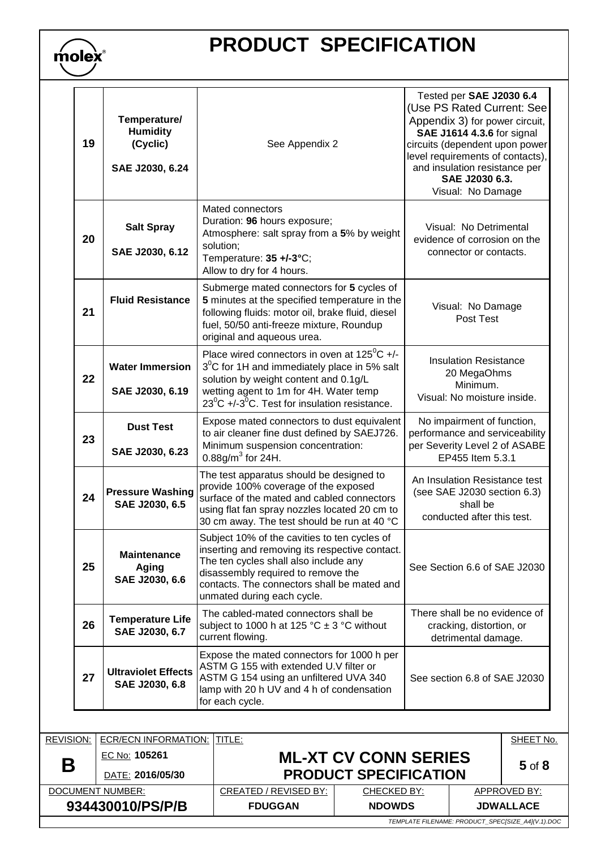| molex |  |
|-------|--|
|       |  |

| 19 | Temperature/<br><b>Humidity</b><br>(Cyclic)<br>SAE J2030, 6.24 | See Appendix 2                                                                                                                                                                                                                                                           | Tested per SAE J2030 6.4<br>(Use PS Rated Current: See<br>Appendix 3) for power circuit,<br>SAE J1614 4.3.6 for signal<br>circuits (dependent upon power<br>level requirements of contacts),<br>and insulation resistance per<br>SAE J2030 6.3.<br>Visual: No Damage |
|----|----------------------------------------------------------------|--------------------------------------------------------------------------------------------------------------------------------------------------------------------------------------------------------------------------------------------------------------------------|----------------------------------------------------------------------------------------------------------------------------------------------------------------------------------------------------------------------------------------------------------------------|
| 20 | <b>Salt Spray</b><br>SAE J2030, 6.12                           | Mated connectors<br>Duration: 96 hours exposure;<br>Atmosphere: salt spray from a 5% by weight<br>solution;<br>Temperature: 35 +/-3°C;<br>Allow to dry for 4 hours.                                                                                                      | Visual: No Detrimental<br>evidence of corrosion on the<br>connector or contacts.                                                                                                                                                                                     |
| 21 | <b>Fluid Resistance</b>                                        | Submerge mated connectors for 5 cycles of<br>5 minutes at the specified temperature in the<br>following fluids: motor oil, brake fluid, diesel<br>fuel, 50/50 anti-freeze mixture, Roundup<br>original and aqueous urea.                                                 | Visual: No Damage<br>Post Test                                                                                                                                                                                                                                       |
| 22 | <b>Water Immersion</b><br>SAE J2030, 6.19                      | Place wired connectors in oven at $125^{\circ}$ C +/-<br>$3^{\circ}$ C for 1H and immediately place in 5% salt<br>solution by weight content and 0.1g/L<br>wetting agent to 1m for 4H. Water temp<br>$23^{\circ}$ C +/-3 <sup>o</sup> C. Test for insulation resistance. | <b>Insulation Resistance</b><br>20 MegaOhms<br>Minimum.<br>Visual: No moisture inside.                                                                                                                                                                               |
| 23 | <b>Dust Test</b><br>SAE J2030, 6.23                            | Expose mated connectors to dust equivalent<br>to air cleaner fine dust defined by SAEJ726.<br>Minimum suspension concentration:<br>0.88g/m <sup>3</sup> for 24H.                                                                                                         | No impairment of function,<br>performance and serviceability<br>per Severity Level 2 of ASABE<br>EP455 Item 5.3.1                                                                                                                                                    |
| 24 | <b>Pressure Washing</b><br>SAE J2030, 6.5                      | The test apparatus should be designed to<br>provide 100% coverage of the exposed<br>surface of the mated and cabled connectors<br>using flat fan spray nozzles located 20 cm to<br>30 cm away. The test should be run at 40 °C                                           | An Insulation Resistance test<br>(see SAE J2030 section 6.3)<br>shall be<br>conducted after this test.                                                                                                                                                               |
| 25 | <b>Maintenance</b><br><b>Aging</b><br>SAE J2030, 6.6           | Subject 10% of the cavities to ten cycles of<br>inserting and removing its respective contact.<br>The ten cycles shall also include any<br>disassembly required to remove the<br>contacts. The connectors shall be mated and<br>unmated during each cycle.               | See Section 6.6 of SAE J2030                                                                                                                                                                                                                                         |
| 26 | <b>Temperature Life</b><br>SAE J2030, 6.7                      | The cabled-mated connectors shall be<br>subject to 1000 h at 125 °C $\pm$ 3 °C without<br>current flowing.                                                                                                                                                               | There shall be no evidence of<br>cracking, distortion, or<br>detrimental damage.                                                                                                                                                                                     |
| 27 | <b>Ultraviolet Effects</b><br>SAE J2030, 6.8                   | Expose the mated connectors for 1000 h per<br>ASTM G 155 with extended U.V filter or<br>ASTM G 154 using an unfiltered UVA 340<br>lamp with 20 h UV and 4 h of condensation<br>for each cycle.                                                                           | See section 6.8 of SAE J2030                                                                                                                                                                                                                                         |

| <b>REVISION:</b>                                  | <b>ECR/ECN INFORMATION:  TITLE:</b> |                                                     |                                           |  | SHEET No.    |  |  |
|---------------------------------------------------|-------------------------------------|-----------------------------------------------------|-------------------------------------------|--|--------------|--|--|
| B                                                 | EC No: 105261                       |                                                     | <b>ML-XT CV CONN SERIES</b><br>$5$ of $8$ |  |              |  |  |
|                                                   | DATE: 2016/05/30                    |                                                     | <b>PRODUCT SPECIFICATION</b>              |  |              |  |  |
|                                                   | DOCUMENT NUMBER:                    | CREATED / REVISED BY:                               | CHECKED BY:                               |  | APPROVED BY: |  |  |
| 934430010/PS/P/B                                  |                                     | <b>NDOWDS</b><br><b>JDWALLACE</b><br><b>FDUGGAN</b> |                                           |  |              |  |  |
| TEMPLATE FILENAME: PRODUCT SPECISIZE A4](V.1).DOC |                                     |                                                     |                                           |  |              |  |  |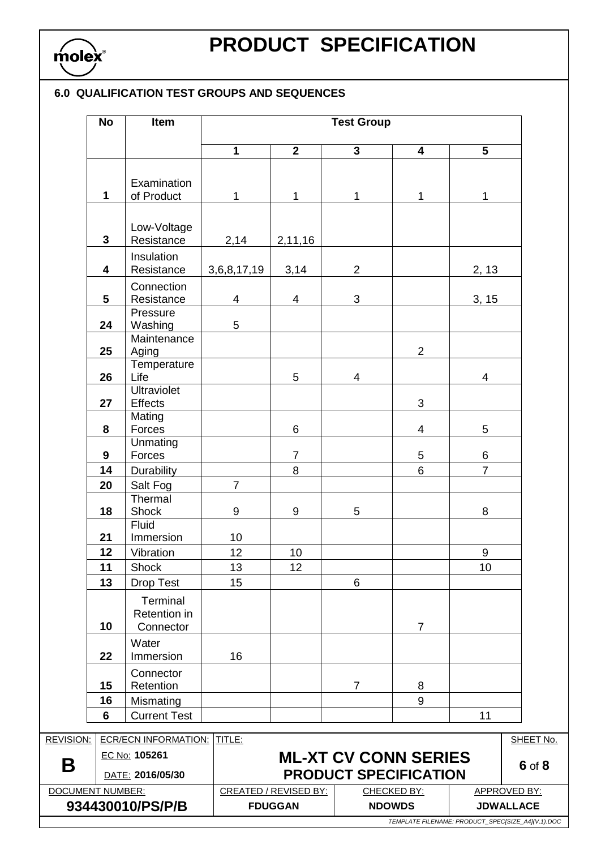

### **6.0 QUALIFICATION TEST GROUPS AND SEQUENCES**

|                                          | <b>No</b>               | Item                                         | <b>Test Group</b> |                              |                                                             |                    |                                                                       |                     |
|------------------------------------------|-------------------------|----------------------------------------------|-------------------|------------------------------|-------------------------------------------------------------|--------------------|-----------------------------------------------------------------------|---------------------|
|                                          |                         |                                              | $\mathbf{1}$      | $\overline{2}$               | $\overline{3}$                                              | 4                  | $\overline{5}$                                                        |                     |
|                                          | $\mathbf 1$             | Examination<br>of Product                    | 1                 | $\mathbf{1}$                 | 1                                                           | 1                  | $\mathbf{1}$                                                          |                     |
|                                          |                         | Low-Voltage                                  |                   |                              |                                                             |                    |                                                                       |                     |
|                                          | 3                       | Resistance<br>Insulation                     | 2,14              | 2,11,16                      |                                                             |                    |                                                                       |                     |
|                                          | $\overline{\mathbf{4}}$ | Resistance                                   | 3,6,8,17,19       | 3,14                         | $\overline{2}$                                              |                    | 2, 13                                                                 |                     |
|                                          | 5                       | Connection<br>Resistance<br>Pressure         | 4                 | $\overline{\mathbf{4}}$      | $\mathfrak{B}$                                              |                    | 3, 15                                                                 |                     |
|                                          | 24                      | Washing<br>Maintenance                       | 5                 |                              |                                                             |                    |                                                                       |                     |
|                                          | 25                      | Aging<br>Temperature                         |                   |                              |                                                             | $\overline{2}$     |                                                                       |                     |
|                                          | 26<br>27                | Life<br><b>Ultraviolet</b><br><b>Effects</b> |                   | 5                            | 4                                                           | 3                  | 4                                                                     |                     |
|                                          | 8                       | Mating<br>Forces                             |                   | 6                            |                                                             | 4                  | 5                                                                     |                     |
|                                          | $\mathbf{9}$            | Unmating<br>Forces                           |                   | $\overline{7}$               |                                                             | 5                  | 6                                                                     |                     |
|                                          | 14                      | <b>Durability</b>                            |                   | 8                            |                                                             | $6\overline{6}$    | $\overline{7}$                                                        |                     |
|                                          | 20                      | Salt Fog<br>Thermal                          | $\overline{7}$    |                              |                                                             |                    |                                                                       |                     |
|                                          | 18                      | Shock<br>Fluid                               | $9\,$             | $\boldsymbol{9}$             | 5                                                           |                    | 8                                                                     |                     |
|                                          | 21<br>12                | Immersion<br>Vibration                       | 10<br>12          | 10                           |                                                             |                    | 9                                                                     |                     |
|                                          |                         |                                              |                   |                              |                                                             |                    |                                                                       |                     |
|                                          | 11<br>13                | Shock<br><b>Drop Test</b>                    | 13<br>15          | 12                           | $6\phantom{1}$                                              |                    | 10                                                                    |                     |
|                                          | 10                      | Terminal<br>Retention in<br>Connector        |                   |                              |                                                             | $\overline{7}$     |                                                                       |                     |
|                                          | 22                      | Water<br>Immersion                           | 16                |                              |                                                             |                    |                                                                       |                     |
|                                          | 15                      | Connector<br>Retention                       |                   |                              | $\overline{7}$                                              | 8                  |                                                                       |                     |
|                                          | 16                      | Mismating                                    |                   |                              |                                                             | 9                  |                                                                       |                     |
|                                          | 6                       | <b>Current Test</b>                          |                   |                              |                                                             |                    | 11                                                                    |                     |
| <b>ECR/ECN INFORMATION:</b><br>REVISION: |                         | TITLE:                                       |                   |                              |                                                             |                    | SHEET No.                                                             |                     |
| Β                                        |                         | EC No: 105261<br>DATE: 2016/05/30            |                   |                              | <b>ML-XT CV CONN SERIES</b><br><b>PRODUCT SPECIFICATION</b> |                    |                                                                       | 6 of 8              |
| <b>DOCUMENT NUMBER:</b>                  |                         |                                              |                   | <b>CREATED / REVISED BY:</b> |                                                             | <b>CHECKED BY:</b> |                                                                       | <b>APPROVED BY:</b> |
| 934430010/PS/P/B                         |                         |                                              | <b>FDUGGAN</b>    |                              | <b>NDOWDS</b>                                               |                    | <b>JDWALLACE</b><br>TEMPLATE FILENAME: PRODUCT_SPEC[SIZE_A4](V.1).DOC |                     |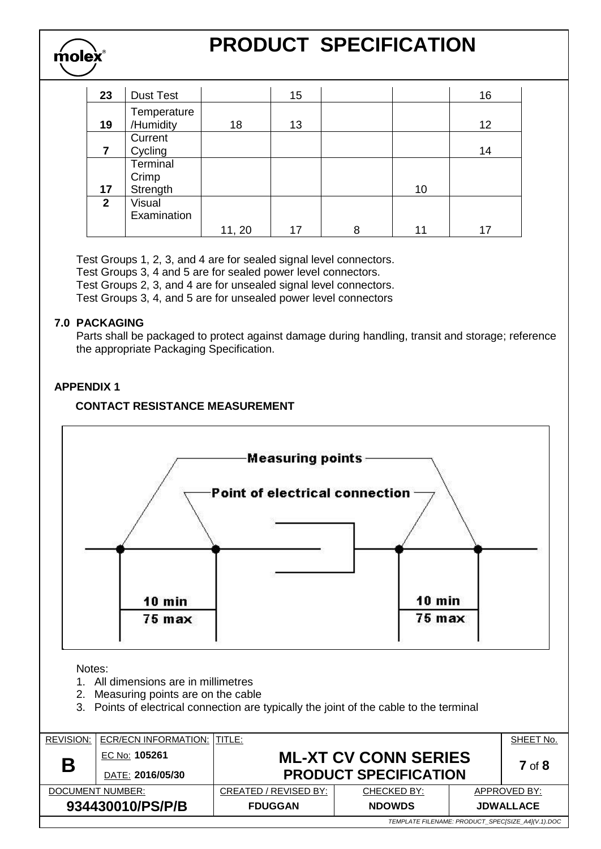| 23           | <b>Dust Test</b>              |        | 15 |   |    | 16 |
|--------------|-------------------------------|--------|----|---|----|----|
| 19           | Temperature<br>/Humidity      | 18     | 13 |   |    | 12 |
| 7            | Current<br>Cycling            |        |    |   |    | 14 |
| 17           | Terminal<br>Crimp<br>Strength |        |    |   | 10 |    |
| $\mathbf{2}$ | Visual<br>Examination         | 11, 20 | 17 | 8 | 11 | 17 |

Test Groups 1, 2, 3, and 4 are for sealed signal level connectors.

Test Groups 3, 4 and 5 are for sealed power level connectors.

Test Groups 2, 3, and 4 are for unsealed signal level connectors.

Test Groups 3, 4, and 5 are for unsealed power level connectors

### **7.0 PACKAGING**

molex

Parts shall be packaged to protect against damage during handling, transit and storage; reference the appropriate Packaging Specification.

### **APPENDIX 1**

### **CONTACT RESISTANCE MEASUREMENT**



*TEMPLATE FILENAME: PRODUCT\_SPEC[SIZE\_A4](V.1).DOC*